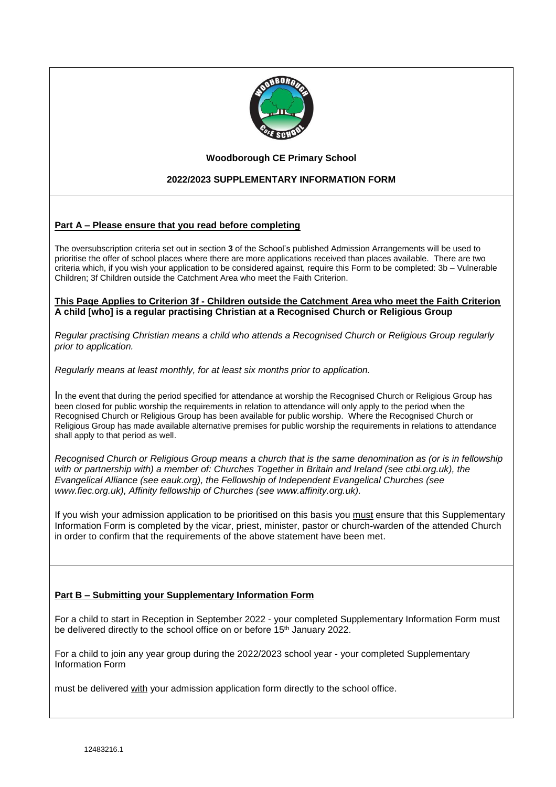

#### **Woodborough CE Primary School**

## **2022/2023 SUPPLEMENTARY INFORMATION FORM**

### **Part A – Please ensure that you read before completing**

The oversubscription criteria set out in section **3** of the School's published Admission Arrangements will be used to prioritise the offer of school places where there are more applications received than places available. There are two criteria which, if you wish your application to be considered against, require this Form to be completed: 3b – Vulnerable Children; 3f Children outside the Catchment Area who meet the Faith Criterion.

#### **This Page Applies to Criterion 3f - Children outside the Catchment Area who meet the Faith Criterion A child [who] is a regular practising Christian at a Recognised Church or Religious Group**

*Regular practising Christian means a child who attends a Recognised Church or Religious Group regularly prior to application.*

*Regularly means at least monthly, for at least six months prior to application.*

In the event that during the period specified for attendance at worship the Recognised Church or Religious Group has been closed for public worship the requirements in relation to attendance will only apply to the period when the Recognised Church or Religious Group has been available for public worship. Where the Recognised Church or Religious Group has made available alternative premises for public worship the requirements in relations to attendance shall apply to that period as well.

*Recognised Church or Religious Group means a church that is the same denomination as (or is in fellowship with or partnership with) a member of: Churches Together in Britain and Ireland (see ctbi.org.uk), the Evangelical Alliance (see eauk.org), the Fellowship of Independent Evangelical Churches (see www.fiec.org.uk), Affinity fellowship of Churches (see www.affinity.org.uk).*

If you wish your admission application to be prioritised on this basis you must ensure that this Supplementary Information Form is completed by the vicar, priest, minister, pastor or church-warden of the attended Church in order to confirm that the requirements of the above statement have been met.

#### **Part B – Submitting your Supplementary Information Form**

For a child to start in Reception in September 2022 - your completed Supplementary Information Form must be delivered directly to the school office on or before 15<sup>th</sup> January 2022.

For a child to join any year group during the 2022/2023 school year - your completed Supplementary Information Form

must be delivered with your admission application form directly to the school office.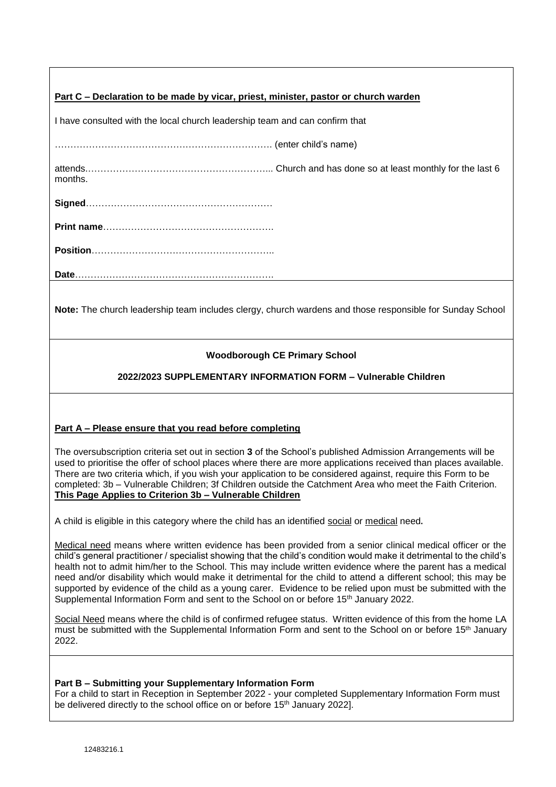| Part C – Declaration to be made by vicar, priest, minister, pastor or church warden |  |  |
|-------------------------------------------------------------------------------------|--|--|
|                                                                                     |  |  |

I have consulted with the local church leadership team and can confirm that

……………………………………………………………. (enter child's name)

attends.…………………………………………………... Church and has done so at least monthly for the last 6 months.

**Signed**……………………………………………………

**Print name**……………………………………………….

**Position**…………………………………………………..

**Date**……………………………………………………….

**Note:** The church leadership team includes clergy, church wardens and those responsible for Sunday School

# **Woodborough CE Primary School**

# **2022/2023 SUPPLEMENTARY INFORMATION FORM – Vulnerable Children**

### **Part A – Please ensure that you read before completing**

The oversubscription criteria set out in section **3** of the School's published Admission Arrangements will be used to prioritise the offer of school places where there are more applications received than places available. There are two criteria which, if you wish your application to be considered against, require this Form to be completed: 3b – Vulnerable Children; 3f Children outside the Catchment Area who meet the Faith Criterion. **This Page Applies to Criterion 3b – Vulnerable Children**

A child is eligible in this category where the child has an identified social or medical need.

Medical need means where written evidence has been provided from a senior clinical medical officer or the child's general practitioner / specialist showing that the child's condition would make it detrimental to the child's health not to admit him/her to the School. This may include written evidence where the parent has a medical need and/or disability which would make it detrimental for the child to attend a different school; this may be supported by evidence of the child as a young carer. Evidence to be relied upon must be submitted with the Supplemental Information Form and sent to the School on or before 15<sup>th</sup> January 2022.

Social Need means where the child is of confirmed refugee status. Written evidence of this from the home LA must be submitted with the Supplemental Information Form and sent to the School on or before 15th January 2022.

#### **Part B – Submitting your Supplementary Information Form**

For a child to start in Reception in September 2022 - your completed Supplementary Information Form must be delivered directly to the school office on or before 15<sup>th</sup> January 2022].